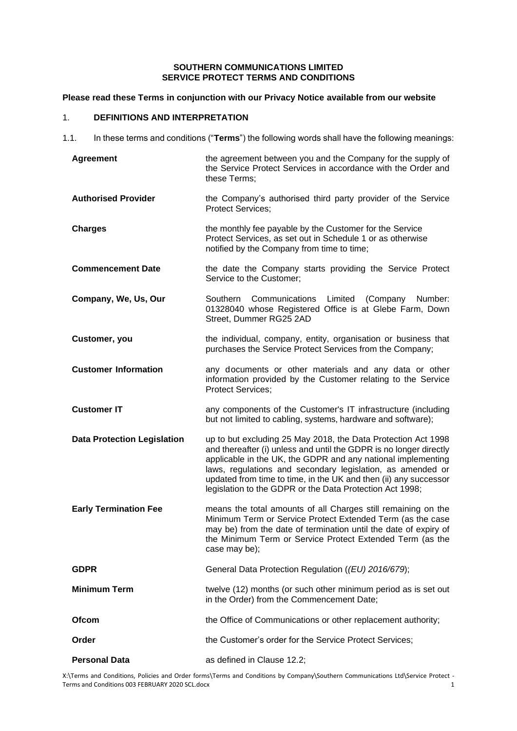## **SOUTHERN COMMUNICATIONS LIMITED SERVICE PROTECT TERMS AND CONDITIONS**

## **Please read these Terms in conjunction with our Privacy Notice available from our website**

# 1. **DEFINITIONS AND INTERPRETATION**

1.1. In these terms and conditions ("**Terms**") the following words shall have the following meanings:

| Agreement                          | the agreement between you and the Company for the supply of<br>the Service Protect Services in accordance with the Order and<br>these Terms;                                                                                                                                                                                                                                                      |
|------------------------------------|---------------------------------------------------------------------------------------------------------------------------------------------------------------------------------------------------------------------------------------------------------------------------------------------------------------------------------------------------------------------------------------------------|
| <b>Authorised Provider</b>         | the Company's authorised third party provider of the Service<br><b>Protect Services;</b>                                                                                                                                                                                                                                                                                                          |
| <b>Charges</b>                     | the monthly fee payable by the Customer for the Service<br>Protect Services, as set out in Schedule 1 or as otherwise<br>notified by the Company from time to time;                                                                                                                                                                                                                               |
| <b>Commencement Date</b>           | the date the Company starts providing the Service Protect<br>Service to the Customer;                                                                                                                                                                                                                                                                                                             |
| Company, We, Us, Our               | Southern Communications<br>Limited<br>Number:<br>(Company<br>01328040 whose Registered Office is at Glebe Farm, Down<br>Street, Dummer RG25 2AD                                                                                                                                                                                                                                                   |
| Customer, you                      | the individual, company, entity, organisation or business that<br>purchases the Service Protect Services from the Company;                                                                                                                                                                                                                                                                        |
| <b>Customer Information</b>        | any documents or other materials and any data or other<br>information provided by the Customer relating to the Service<br><b>Protect Services;</b>                                                                                                                                                                                                                                                |
| <b>Customer IT</b>                 | any components of the Customer's IT infrastructure (including<br>but not limited to cabling, systems, hardware and software);                                                                                                                                                                                                                                                                     |
| <b>Data Protection Legislation</b> | up to but excluding 25 May 2018, the Data Protection Act 1998<br>and thereafter (i) unless and until the GDPR is no longer directly<br>applicable in the UK, the GDPR and any national implementing<br>laws, regulations and secondary legislation, as amended or<br>updated from time to time, in the UK and then (ii) any successor<br>legislation to the GDPR or the Data Protection Act 1998; |
| <b>Early Termination Fee</b>       | means the total amounts of all Charges still remaining on the<br>Minimum Term or Service Protect Extended Term (as the case<br>may be) from the date of termination until the date of expiry of<br>the Minimum Term or Service Protect Extended Term (as the<br>case may be);                                                                                                                     |
| <b>GDPR</b>                        | General Data Protection Regulation ((EU) 2016/679);                                                                                                                                                                                                                                                                                                                                               |
| <b>Minimum Term</b>                | twelve (12) months (or such other minimum period as is set out<br>in the Order) from the Commencement Date;                                                                                                                                                                                                                                                                                       |
| Ofcom                              | the Office of Communications or other replacement authority;                                                                                                                                                                                                                                                                                                                                      |
| Order                              | the Customer's order for the Service Protect Services;                                                                                                                                                                                                                                                                                                                                            |
| <b>Personal Data</b>               | as defined in Clause 12.2;                                                                                                                                                                                                                                                                                                                                                                        |

X:\Terms and Conditions, Policies and Order forms\Terms and Conditions by Company\Southern Communications Ltd\Service Protect - Terms and Conditions 003 FEBRUARY 2020 SCL.docx 1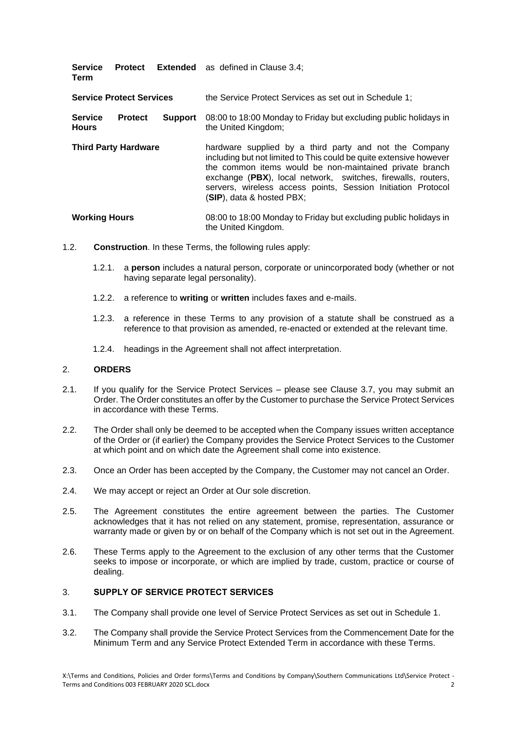| <b>Service</b><br>Term          |                |                | <b>Protect</b> Extended as defined in Clause 3.4;                                                                                                                                                                                                                                                                                                    |
|---------------------------------|----------------|----------------|------------------------------------------------------------------------------------------------------------------------------------------------------------------------------------------------------------------------------------------------------------------------------------------------------------------------------------------------------|
| <b>Service Protect Services</b> |                |                | the Service Protect Services as set out in Schedule 1:                                                                                                                                                                                                                                                                                               |
| <b>Service</b><br><b>Hours</b>  | <b>Protect</b> | <b>Support</b> | 08:00 to 18:00 Monday to Friday but excluding public holidays in<br>the United Kingdom;                                                                                                                                                                                                                                                              |
| <b>Third Party Hardware</b>     |                |                | hardware supplied by a third party and not the Company<br>including but not limited to This could be quite extensive however<br>the common items would be non-maintained private branch<br>exchange (PBX), local network, switches, firewalls, routers,<br>servers, wireless access points, Session Initiation Protocol<br>(SIP), data & hosted PBX; |

## **Working Hours** 08:00 to 18:00 Monday to Friday but excluding public holidays in the United Kingdom.

- 1.2. **Construction**. In these Terms, the following rules apply:
	- 1.2.1. a **person** includes a natural person, corporate or unincorporated body (whether or not having separate legal personality).
	- 1.2.2. a reference to **writing** or **written** includes faxes and e-mails.
	- 1.2.3. a reference in these Terms to any provision of a statute shall be construed as a reference to that provision as amended, re-enacted or extended at the relevant time.
	- 1.2.4. headings in the Agreement shall not affect interpretation.

### 2. **ORDERS**

- 2.1. If you qualify for the Service Protect Services please see Clause 3.7, you may submit an Order. The Order constitutes an offer by the Customer to purchase the Service Protect Services in accordance with these Terms.
- 2.2. The Order shall only be deemed to be accepted when the Company issues written acceptance of the Order or (if earlier) the Company provides the Service Protect Services to the Customer at which point and on which date the Agreement shall come into existence.
- 2.3. Once an Order has been accepted by the Company, the Customer may not cancel an Order.
- 2.4. We may accept or reject an Order at Our sole discretion.
- 2.5. The Agreement constitutes the entire agreement between the parties. The Customer acknowledges that it has not relied on any statement, promise, representation, assurance or warranty made or given by or on behalf of the Company which is not set out in the Agreement.
- 2.6. These Terms apply to the Agreement to the exclusion of any other terms that the Customer seeks to impose or incorporate, or which are implied by trade, custom, practice or course of dealing.

## 3. **SUPPLY OF SERVICE PROTECT SERVICES**

- 3.1. The Company shall provide one level of Service Protect Services as set out in Schedule 1.
- 3.2. The Company shall provide the Service Protect Services from the Commencement Date for the Minimum Term and any Service Protect Extended Term in accordance with these Terms.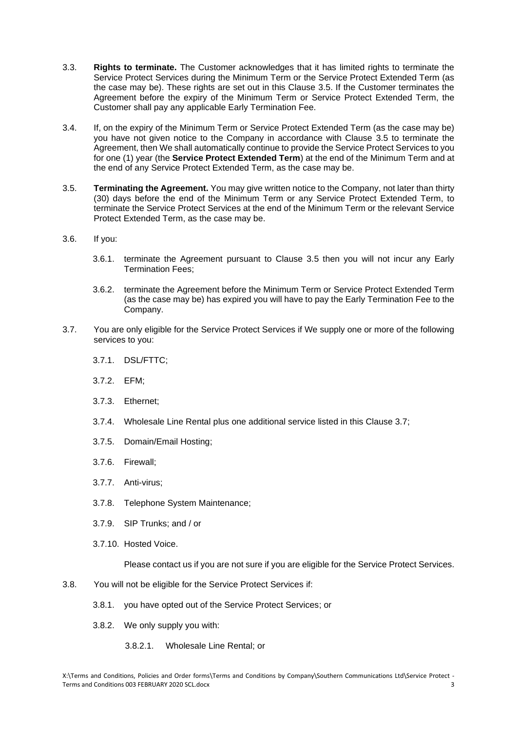- 3.3. **Rights to terminate.** The Customer acknowledges that it has limited rights to terminate the Service Protect Services during the Minimum Term or the Service Protect Extended Term (as the case may be). These rights are set out in this Clause 3.5. If the Customer terminates the Agreement before the expiry of the Minimum Term or Service Protect Extended Term, the Customer shall pay any applicable Early Termination Fee.
- 3.4. If, on the expiry of the Minimum Term or Service Protect Extended Term (as the case may be) you have not given notice to the Company in accordance with Clause 3.5 to terminate the Agreement, then We shall automatically continue to provide the Service Protect Services to you for one (1) year (the **Service Protect Extended Term**) at the end of the Minimum Term and at the end of any Service Protect Extended Term, as the case may be.
- 3.5. **Terminating the Agreement.** You may give written notice to the Company, not later than thirty (30) days before the end of the Minimum Term or any Service Protect Extended Term, to terminate the Service Protect Services at the end of the Minimum Term or the relevant Service Protect Extended Term, as the case may be.
- 3.6. If you:
	- 3.6.1. terminate the Agreement pursuant to Clause 3.5 then you will not incur any Early Termination Fees;
	- 3.6.2. terminate the Agreement before the Minimum Term or Service Protect Extended Term (as the case may be) has expired you will have to pay the Early Termination Fee to the Company.
- 3.7. You are only eligible for the Service Protect Services if We supply one or more of the following services to you:
	- 3.7.1. DSL/FTTC;
	- 3.7.2. EFM;
	- 3.7.3. Ethernet;
	- 3.7.4. Wholesale Line Rental plus one additional service listed in this Clause 3.7;
	- 3.7.5. Domain/Email Hosting;
	- 3.7.6. Firewall;
	- 3.7.7. Anti-virus;
	- 3.7.8. Telephone System Maintenance;
	- 3.7.9. SIP Trunks; and / or
	- 3.7.10. Hosted Voice.

Please contact us if you are not sure if you are eligible for the Service Protect Services.

- 3.8. You will not be eligible for the Service Protect Services if:
	- 3.8.1. you have opted out of the Service Protect Services; or
	- 3.8.2. We only supply you with:
		- 3.8.2.1. Wholesale Line Rental; or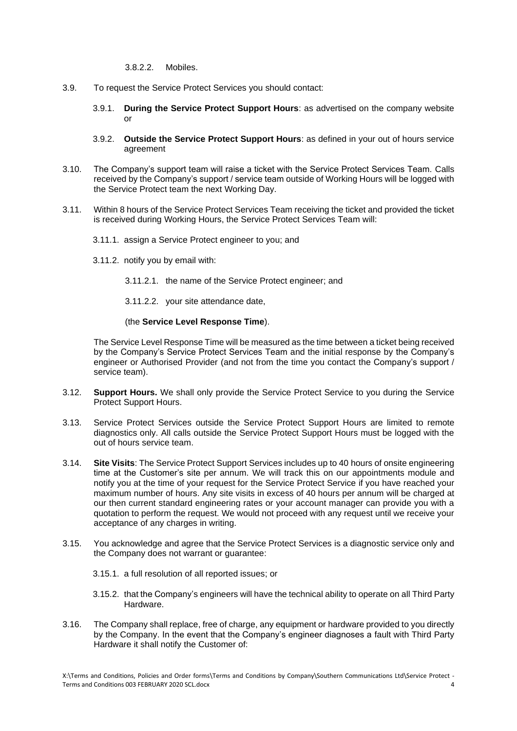3.8.2.2. Mobiles.

- 3.9. To request the Service Protect Services you should contact:
	- 3.9.1. **During the Service Protect Support Hours**: as advertised on the company website or
	- 3.9.2. **Outside the Service Protect Support Hours**: as defined in your out of hours service agreement
- 3.10. The Company's support team will raise a ticket with the Service Protect Services Team. Calls received by the Company's support / service team outside of Working Hours will be logged with the Service Protect team the next Working Day.
- 3.11. Within 8 hours of the Service Protect Services Team receiving the ticket and provided the ticket is received during Working Hours, the Service Protect Services Team will:
	- 3.11.1. assign a Service Protect engineer to you; and
	- 3.11.2. notify you by email with:
		- 3.11.2.1. the name of the Service Protect engineer; and
		- 3.11.2.2. your site attendance date,

#### (the **Service Level Response Time**).

The Service Level Response Time will be measured as the time between a ticket being received by the Company's Service Protect Services Team and the initial response by the Company's engineer or Authorised Provider (and not from the time you contact the Company's support / service team).

- 3.12. **Support Hours.** We shall only provide the Service Protect Service to you during the Service Protect Support Hours.
- 3.13. Service Protect Services outside the Service Protect Support Hours are limited to remote diagnostics only. All calls outside the Service Protect Support Hours must be logged with the out of hours service team.
- 3.14. **Site Visits**: The Service Protect Support Services includes up to 40 hours of onsite engineering time at the Customer's site per annum. We will track this on our appointments module and notify you at the time of your request for the Service Protect Service if you have reached your maximum number of hours. Any site visits in excess of 40 hours per annum will be charged at our then current standard engineering rates or your account manager can provide you with a quotation to perform the request. We would not proceed with any request until we receive your acceptance of any charges in writing.
- 3.15. You acknowledge and agree that the Service Protect Services is a diagnostic service only and the Company does not warrant or guarantee:
	- 3.15.1. a full resolution of all reported issues; or
	- 3.15.2. that the Company's engineers will have the technical ability to operate on all Third Party Hardware.
- 3.16. The Company shall replace, free of charge, any equipment or hardware provided to you directly by the Company. In the event that the Company's engineer diagnoses a fault with Third Party Hardware it shall notify the Customer of: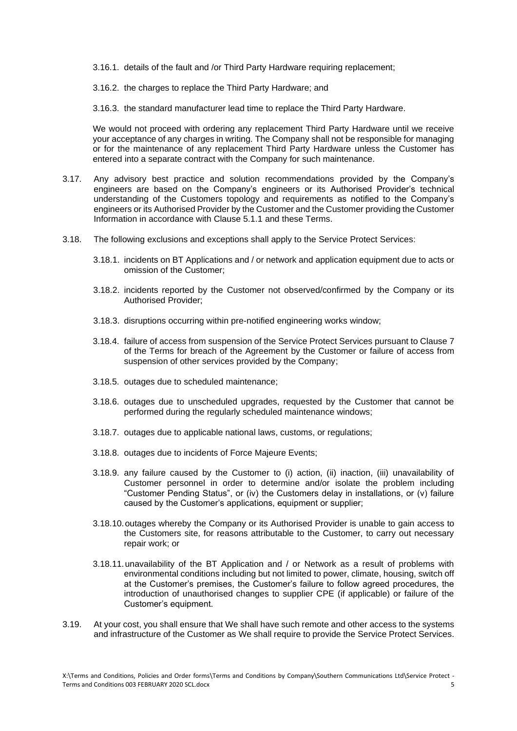3.16.1. details of the fault and /or Third Party Hardware requiring replacement;

3.16.2. the charges to replace the Third Party Hardware; and

3.16.3. the standard manufacturer lead time to replace the Third Party Hardware.

We would not proceed with ordering any replacement Third Party Hardware until we receive your acceptance of any charges in writing. The Company shall not be responsible for managing or for the maintenance of any replacement Third Party Hardware unless the Customer has entered into a separate contract with the Company for such maintenance.

- 3.17. Any advisory best practice and solution recommendations provided by the Company's engineers are based on the Company's engineers or its Authorised Provider's technical understanding of the Customers topology and requirements as notified to the Company's engineers or its Authorised Provider by the Customer and the Customer providing the Customer Information in accordance with Clause 5.1.1 and these Terms.
- 3.18. The following exclusions and exceptions shall apply to the Service Protect Services:
	- 3.18.1. incidents on BT Applications and / or network and application equipment due to acts or omission of the Customer;
	- 3.18.2. incidents reported by the Customer not observed/confirmed by the Company or its Authorised Provider;
	- 3.18.3. disruptions occurring within pre-notified engineering works window;
	- 3.18.4. failure of access from suspension of the Service Protect Services pursuant to Clause 7 of the Terms for breach of the Agreement by the Customer or failure of access from suspension of other services provided by the Company;
	- 3.18.5. outages due to scheduled maintenance;
	- 3.18.6. outages due to unscheduled upgrades, requested by the Customer that cannot be performed during the regularly scheduled maintenance windows;
	- 3.18.7. outages due to applicable national laws, customs, or regulations;
	- 3.18.8. outages due to incidents of Force Majeure Events;
	- 3.18.9. any failure caused by the Customer to (i) action, (ii) inaction, (iii) unavailability of Customer personnel in order to determine and/or isolate the problem including "Customer Pending Status", or (iv) the Customers delay in installations, or (v) failure caused by the Customer's applications, equipment or supplier;
	- 3.18.10.outages whereby the Company or its Authorised Provider is unable to gain access to the Customers site, for reasons attributable to the Customer, to carry out necessary repair work; or
	- 3.18.11.unavailability of the BT Application and / or Network as a result of problems with environmental conditions including but not limited to power, climate, housing, switch off at the Customer's premises, the Customer's failure to follow agreed procedures, the introduction of unauthorised changes to supplier CPE (if applicable) or failure of the Customer's equipment.
- 3.19. At your cost, you shall ensure that We shall have such remote and other access to the systems and infrastructure of the Customer as We shall require to provide the Service Protect Services.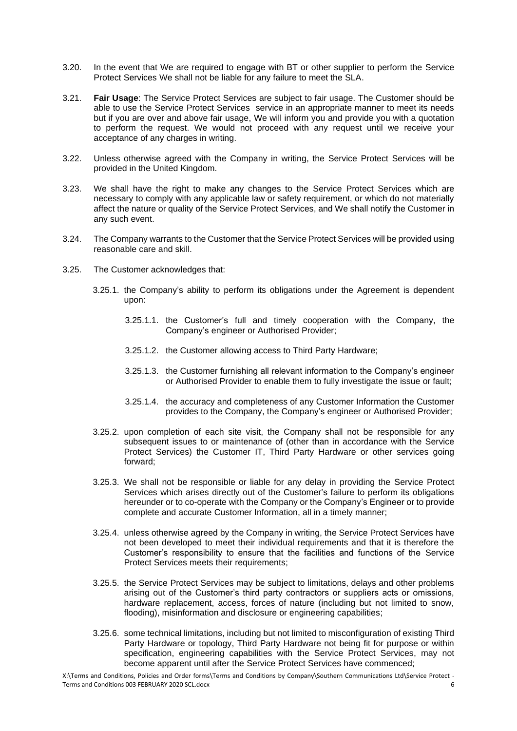- 3.20. In the event that We are required to engage with BT or other supplier to perform the Service Protect Services We shall not be liable for any failure to meet the SLA.
- 3.21. **Fair Usage**: The Service Protect Services are subject to fair usage. The Customer should be able to use the Service Protect Services service in an appropriate manner to meet its needs but if you are over and above fair usage, We will inform you and provide you with a quotation to perform the request. We would not proceed with any request until we receive your acceptance of any charges in writing.
- 3.22. Unless otherwise agreed with the Company in writing, the Service Protect Services will be provided in the United Kingdom.
- 3.23. We shall have the right to make any changes to the Service Protect Services which are necessary to comply with any applicable law or safety requirement, or which do not materially affect the nature or quality of the Service Protect Services, and We shall notify the Customer in any such event.
- 3.24. The Company warrants to the Customer that the Service Protect Services will be provided using reasonable care and skill.
- 3.25. The Customer acknowledges that:
	- 3.25.1. the Company's ability to perform its obligations under the Agreement is dependent upon:
		- 3.25.1.1. the Customer's full and timely cooperation with the Company, the Company's engineer or Authorised Provider;
		- 3.25.1.2. the Customer allowing access to Third Party Hardware;
		- 3.25.1.3. the Customer furnishing all relevant information to the Company's engineer or Authorised Provider to enable them to fully investigate the issue or fault;
		- 3.25.1.4. the accuracy and completeness of any Customer Information the Customer provides to the Company, the Company's engineer or Authorised Provider;
	- 3.25.2. upon completion of each site visit, the Company shall not be responsible for any subsequent issues to or maintenance of (other than in accordance with the Service Protect Services) the Customer IT, Third Party Hardware or other services going forward;
	- 3.25.3. We shall not be responsible or liable for any delay in providing the Service Protect Services which arises directly out of the Customer's failure to perform its obligations hereunder or to co-operate with the Company or the Company's Engineer or to provide complete and accurate Customer Information, all in a timely manner;
	- 3.25.4. unless otherwise agreed by the Company in writing, the Service Protect Services have not been developed to meet their individual requirements and that it is therefore the Customer's responsibility to ensure that the facilities and functions of the Service Protect Services meets their requirements;
	- 3.25.5. the Service Protect Services may be subject to limitations, delays and other problems arising out of the Customer's third party contractors or suppliers acts or omissions, hardware replacement, access, forces of nature (including but not limited to snow, flooding), misinformation and disclosure or engineering capabilities;
	- 3.25.6. some technical limitations, including but not limited to misconfiguration of existing Third Party Hardware or topology, Third Party Hardware not being fit for purpose or within specification, engineering capabilities with the Service Protect Services, may not become apparent until after the Service Protect Services have commenced;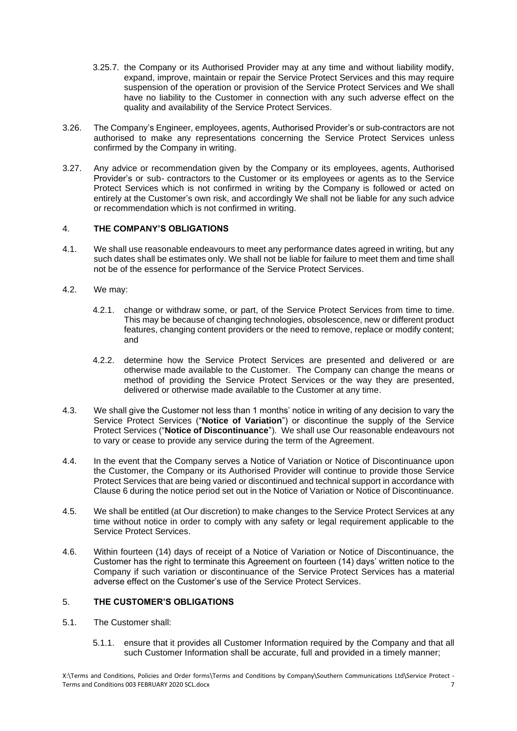- 3.25.7. the Company or its Authorised Provider may at any time and without liability modify, expand, improve, maintain or repair the Service Protect Services and this may require suspension of the operation or provision of the Service Protect Services and We shall have no liability to the Customer in connection with any such adverse effect on the quality and availability of the Service Protect Services.
- 3.26. The Company's Engineer, employees, agents, Authorised Provider's or sub-contractors are not authorised to make any representations concerning the Service Protect Services unless confirmed by the Company in writing.
- 3.27. Any advice or recommendation given by the Company or its employees, agents, Authorised Provider's or sub- contractors to the Customer or its employees or agents as to the Service Protect Services which is not confirmed in writing by the Company is followed or acted on entirely at the Customer's own risk, and accordingly We shall not be liable for any such advice or recommendation which is not confirmed in writing.

## 4. **THE COMPANY'S OBLIGATIONS**

- 4.1. We shall use reasonable endeavours to meet any performance dates agreed in writing, but any such dates shall be estimates only. We shall not be liable for failure to meet them and time shall not be of the essence for performance of the Service Protect Services.
- 4.2. We may:
	- 4.2.1. change or withdraw some, or part, of the Service Protect Services from time to time. This may be because of changing technologies, obsolescence, new or different product features, changing content providers or the need to remove, replace or modify content; and
	- 4.2.2. determine how the Service Protect Services are presented and delivered or are otherwise made available to the Customer. The Company can change the means or method of providing the Service Protect Services or the way they are presented, delivered or otherwise made available to the Customer at any time.
- 4.3. We shall give the Customer not less than 1 months' notice in writing of any decision to vary the Service Protect Services ("**Notice of Variation**") or discontinue the supply of the Service Protect Services ("**Notice of Discontinuance**"). We shall use Our reasonable endeavours not to vary or cease to provide any service during the term of the Agreement.
- 4.4. In the event that the Company serves a Notice of Variation or Notice of Discontinuance upon the Customer, the Company or its Authorised Provider will continue to provide those Service Protect Services that are being varied or discontinued and technical support in accordance with Clause 6 during the notice period set out in the Notice of Variation or Notice of Discontinuance.
- 4.5. We shall be entitled (at Our discretion) to make changes to the Service Protect Services at any time without notice in order to comply with any safety or legal requirement applicable to the Service Protect Services.
- 4.6. Within fourteen (14) days of receipt of a Notice of Variation or Notice of Discontinuance, the Customer has the right to terminate this Agreement on fourteen (14) days' written notice to the Company if such variation or discontinuance of the Service Protect Services has a material adverse effect on the Customer's use of the Service Protect Services.

# 5. **THE CUSTOMER'S OBLIGATIONS**

- 5.1. The Customer shall:
	- 5.1.1. ensure that it provides all Customer Information required by the Company and that all such Customer Information shall be accurate, full and provided in a timely manner;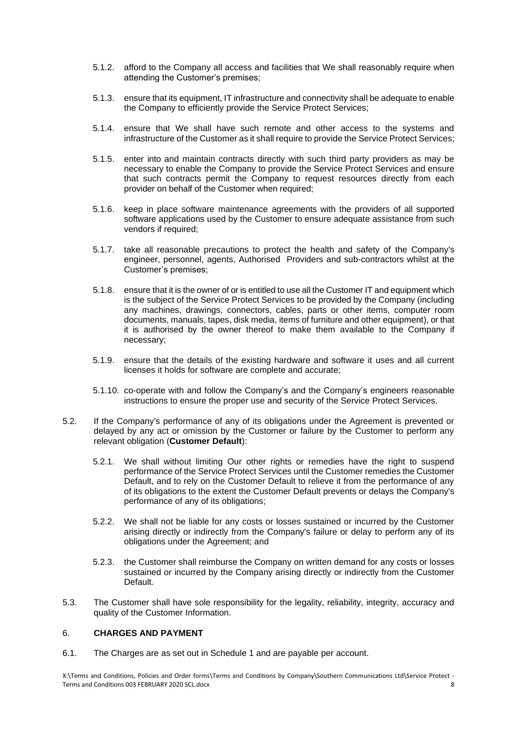- 5.1.2. afford to the Company all access and facilities that We shall reasonably require when attending the Customer's premises;
- 5.1.3. ensure that its equipment, IT infrastructure and connectivity shall be adequate to enable the Company to efficiently provide the Service Protect Services;
- 5.1.4. ensure that We shall have such remote and other access to the systems and infrastructure of the Customer as it shall require to provide the Service Protect Services;
- 5.1.5. enter into and maintain contracts directly with such third party providers as may be necessary to enable the Company to provide the Service Protect Services and ensure that such contracts permit the Company to request resources directly from each provider on behalf of the Customer when required;
- 5.1.6. keep in place software maintenance agreements with the providers of all supported software applications used by the Customer to ensure adequate assistance from such vendors if required;
- 5.1.7. take all reasonable precautions to protect the health and safety of the Company's engineer, personnel, agents, Authorised Providers and sub-contractors whilst at the Customer's premises;
- 5.1.8. ensure that it is the owner of or is entitled to use all the Customer IT and equipment which is the subject of the Service Protect Services to be provided by the Company (including any machines, drawings, connectors, cables, parts or other items, computer room documents, manuals, tapes, disk media, items of furniture and other equipment), or that it is authorised by the owner thereof to make them available to the Company if necessary;
- 5.1.9. ensure that the details of the existing hardware and software it uses and all current licenses it holds for software are complete and accurate;
- 5.1.10. co-operate with and follow the Company's and the Company's engineers reasonable instructions to ensure the proper use and security of the Service Protect Services.
- 5.2. If the Company's performance of any of its obligations under the Agreement is prevented or delayed by any act or omission by the Customer or failure by the Customer to perform any relevant obligation (**Customer Default**):
	- 5.2.1. We shall without limiting Our other rights or remedies have the right to suspend performance of the Service Protect Services until the Customer remedies the Customer Default, and to rely on the Customer Default to relieve it from the performance of any of its obligations to the extent the Customer Default prevents or delays the Company's performance of any of its obligations;
	- 5.2.2. We shall not be liable for any costs or losses sustained or incurred by the Customer arising directly or indirectly from the Company's failure or delay to perform any of its obligations under the Agreement; and
	- 5.2.3. the Customer shall reimburse the Company on written demand for any costs or losses sustained or incurred by the Company arising directly or indirectly from the Customer Default.
- 5.3. The Customer shall have sole responsibility for the legality, reliability, integrity, accuracy and quality of the Customer Information.

## 6. **CHARGES AND PAYMENT**

6.1. The Charges are as set out in Schedule 1 and are payable per account.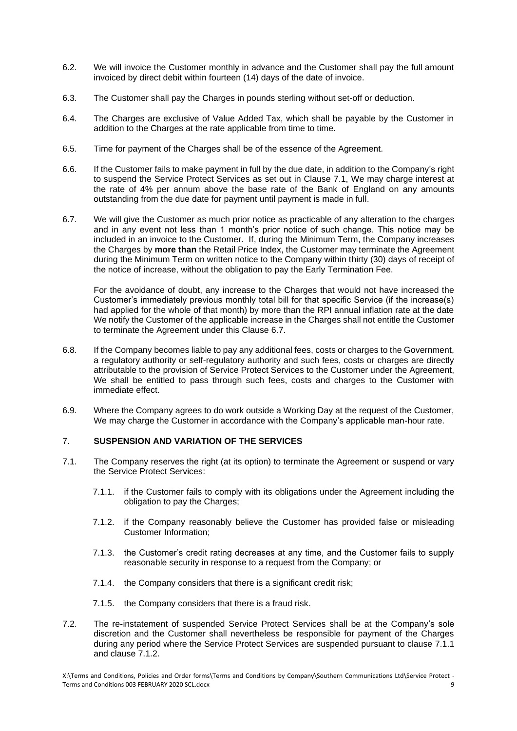- 6.2. We will invoice the Customer monthly in advance and the Customer shall pay the full amount invoiced by direct debit within fourteen (14) days of the date of invoice.
- 6.3. The Customer shall pay the Charges in pounds sterling without set-off or deduction.
- 6.4. The Charges are exclusive of Value Added Tax, which shall be payable by the Customer in addition to the Charges at the rate applicable from time to time.
- 6.5. Time for payment of the Charges shall be of the essence of the Agreement.
- 6.6. If the Customer fails to make payment in full by the due date, in addition to the Company's right to suspend the Service Protect Services as set out in Clause 7.1, We may charge interest at the rate of 4% per annum above the base rate of the Bank of England on any amounts outstanding from the due date for payment until payment is made in full.
- 6.7. We will give the Customer as much prior notice as practicable of any alteration to the charges and in any event not less than 1 month's prior notice of such change. This notice may be included in an invoice to the Customer. If, during the Minimum Term, the Company increases the Charges by **more than** the Retail Price Index, the Customer may terminate the Agreement during the Minimum Term on written notice to the Company within thirty (30) days of receipt of the notice of increase, without the obligation to pay the Early Termination Fee.

For the avoidance of doubt, any increase to the Charges that would not have increased the Customer's immediately previous monthly total bill for that specific Service (if the increase(s) had applied for the whole of that month) by more than the RPI annual inflation rate at the date We notify the Customer of the applicable increase in the Charges shall not entitle the Customer to terminate the Agreement under this Clause 6.7.

- 6.8. If the Company becomes liable to pay any additional fees, costs or charges to the Government, a regulatory authority or self-regulatory authority and such fees, costs or charges are directly attributable to the provision of Service Protect Services to the Customer under the Agreement, We shall be entitled to pass through such fees, costs and charges to the Customer with immediate effect.
- 6.9. Where the Company agrees to do work outside a Working Day at the request of the Customer, We may charge the Customer in accordance with the Company's applicable man-hour rate.

## 7. **SUSPENSION AND VARIATION OF THE SERVICES**

- 7.1. The Company reserves the right (at its option) to terminate the Agreement or suspend or vary the Service Protect Services:
	- 7.1.1. if the Customer fails to comply with its obligations under the Agreement including the obligation to pay the Charges;
	- 7.1.2. if the Company reasonably believe the Customer has provided false or misleading Customer Information;
	- 7.1.3. the Customer's credit rating decreases at any time, and the Customer fails to supply reasonable security in response to a request from the Company; or
	- 7.1.4. the Company considers that there is a significant credit risk;
	- 7.1.5. the Company considers that there is a fraud risk.
- 7.2. The re-instatement of suspended Service Protect Services shall be at the Company's sole discretion and the Customer shall nevertheless be responsible for payment of the Charges during any period where the Service Protect Services are suspended pursuant to clause 7.1.1 and clause 7.1.2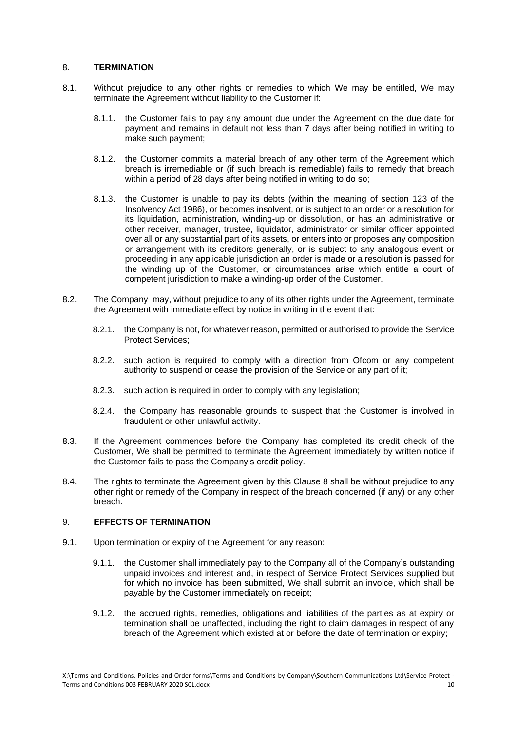## 8. **TERMINATION**

- 8.1. Without prejudice to any other rights or remedies to which We may be entitled, We may terminate the Agreement without liability to the Customer if:
	- 8.1.1. the Customer fails to pay any amount due under the Agreement on the due date for payment and remains in default not less than 7 days after being notified in writing to make such payment;
	- 8.1.2. the Customer commits a material breach of any other term of the Agreement which breach is irremediable or (if such breach is remediable) fails to remedy that breach within a period of 28 days after being notified in writing to do so:
	- 8.1.3. the Customer is unable to pay its debts (within the meaning of section 123 of the Insolvency Act 1986), or becomes insolvent, or is subject to an order or a resolution for its liquidation, administration, winding-up or dissolution, or has an administrative or other receiver, manager, trustee, liquidator, administrator or similar officer appointed over all or any substantial part of its assets, or enters into or proposes any composition or arrangement with its creditors generally, or is subject to any analogous event or proceeding in any applicable jurisdiction an order is made or a resolution is passed for the winding up of the Customer, or circumstances arise which entitle a court of competent jurisdiction to make a winding-up order of the Customer.
- 8.2. The Company may, without prejudice to any of its other rights under the Agreement, terminate the Agreement with immediate effect by notice in writing in the event that:
	- 8.2.1. the Company is not, for whatever reason, permitted or authorised to provide the Service Protect Services;
	- 8.2.2. such action is required to comply with a direction from Ofcom or any competent authority to suspend or cease the provision of the Service or any part of it;
	- 8.2.3. such action is required in order to comply with any legislation;
	- 8.2.4. the Company has reasonable grounds to suspect that the Customer is involved in fraudulent or other unlawful activity.
- 8.3. If the Agreement commences before the Company has completed its credit check of the Customer, We shall be permitted to terminate the Agreement immediately by written notice if the Customer fails to pass the Company's credit policy.
- 8.4. The rights to terminate the Agreement given by this Clause 8 shall be without prejudice to any other right or remedy of the Company in respect of the breach concerned (if any) or any other breach.

## 9. **EFFECTS OF TERMINATION**

- 9.1. Upon termination or expiry of the Agreement for any reason:
	- 9.1.1. the Customer shall immediately pay to the Company all of the Company's outstanding unpaid invoices and interest and, in respect of Service Protect Services supplied but for which no invoice has been submitted, We shall submit an invoice, which shall be payable by the Customer immediately on receipt;
	- 9.1.2. the accrued rights, remedies, obligations and liabilities of the parties as at expiry or termination shall be unaffected, including the right to claim damages in respect of any breach of the Agreement which existed at or before the date of termination or expiry;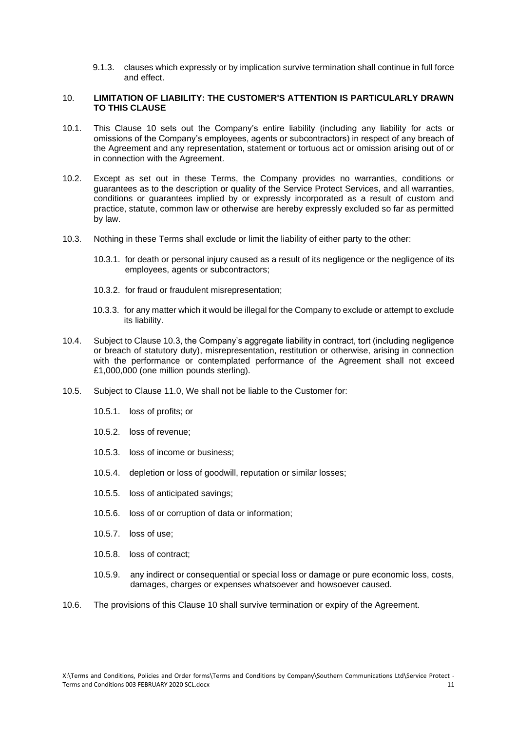9.1.3. clauses which expressly or by implication survive termination shall continue in full force and effect.

#### 10. **LIMITATION OF LIABILITY: THE CUSTOMER'S ATTENTION IS PARTICULARLY DRAWN TO THIS CLAUSE**

- 10.1. This Clause 10 sets out the Company's entire liability (including any liability for acts or omissions of the Company's employees, agents or subcontractors) in respect of any breach of the Agreement and any representation, statement or tortuous act or omission arising out of or in connection with the Agreement.
- 10.2. Except as set out in these Terms, the Company provides no warranties, conditions or guarantees as to the description or quality of the Service Protect Services, and all warranties, conditions or guarantees implied by or expressly incorporated as a result of custom and practice, statute, common law or otherwise are hereby expressly excluded so far as permitted by law.
- 10.3. Nothing in these Terms shall exclude or limit the liability of either party to the other:
	- 10.3.1. for death or personal injury caused as a result of its negligence or the negligence of its employees, agents or subcontractors;
	- 10.3.2. for fraud or fraudulent misrepresentation;
	- 10.3.3. for any matter which it would be illegal for the Company to exclude or attempt to exclude its liability.
- 10.4. Subject to Clause 10.3, the Company's aggregate liability in contract, tort (including negligence or breach of statutory duty), misrepresentation, restitution or otherwise, arising in connection with the performance or contemplated performance of the Agreement shall not exceed £1,000,000 (one million pounds sterling).
- 10.5. Subject to Clause 11.0, We shall not be liable to the Customer for:
	- 10.5.1. loss of profits; or
	- 10.5.2. loss of revenue;
	- 10.5.3. loss of income or business;
	- 10.5.4. depletion or loss of goodwill, reputation or similar losses;
	- 10.5.5. loss of anticipated savings;
	- 10.5.6. loss of or corruption of data or information;
	- 10.5.7. loss of use;
	- 10.5.8. loss of contract;
	- 10.5.9. any indirect or consequential or special loss or damage or pure economic loss, costs, damages, charges or expenses whatsoever and howsoever caused.
- 10.6. The provisions of this Clause 10 shall survive termination or expiry of the Agreement.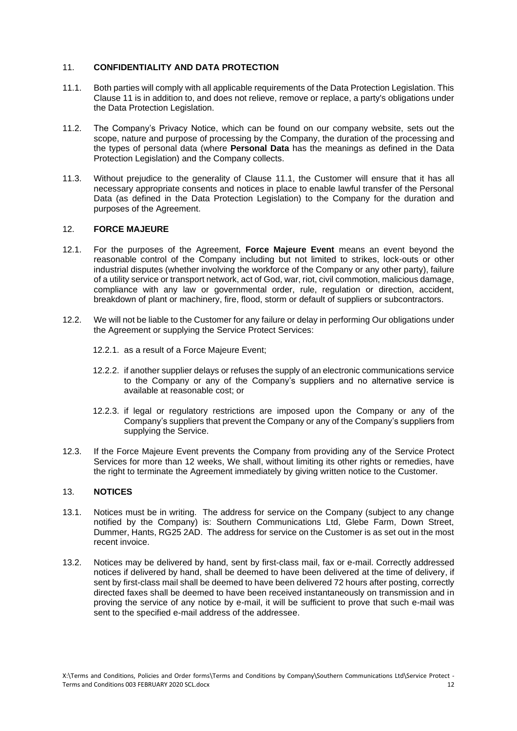## 11. **CONFIDENTIALITY AND DATA PROTECTION**

- <span id="page-11-0"></span>11.1. Both parties will comply with all applicable requirements of the Data Protection Legislation. This Clause 11 is in addition to, and does not relieve, remove or replace, a party's obligations under the Data Protection Legislation.
- 11.2. The Company's Privacy Notice, which can be found on our company website, sets out the scope, nature and purpose of processing by the Company, the duration of the processing and the types of personal data (where **Personal Data** has the meanings as defined in the Data Protection Legislation) and the Company collects.
- 11.3. Without prejudice to the generality of Clause [11.1,](#page-11-0) the Customer will ensure that it has all necessary appropriate consents and notices in place to enable lawful transfer of the Personal Data (as defined in the Data Protection Legislation) to the Company for the duration and purposes of the Agreement.

#### 12. **FORCE MAJEURE**

- 12.1. For the purposes of the Agreement, **Force Majeure Event** means an event beyond the reasonable control of the Company including but not limited to strikes, lock-outs or other industrial disputes (whether involving the workforce of the Company or any other party), failure of a utility service or transport network, act of God, war, riot, civil commotion, malicious damage, compliance with any law or governmental order, rule, regulation or direction, accident, breakdown of plant or machinery, fire, flood, storm or default of suppliers or subcontractors.
- 12.2. We will not be liable to the Customer for any failure or delay in performing Our obligations under the Agreement or supplying the Service Protect Services:
	- 12.2.1. as a result of a Force Majeure Event;
	- 12.2.2. if another supplier delays or refuses the supply of an electronic communications service to the Company or any of the Company's suppliers and no alternative service is available at reasonable cost; or
	- 12.2.3. if legal or regulatory restrictions are imposed upon the Company or any of the Company's suppliers that prevent the Company or any of the Company's suppliers from supplying the Service.
- 12.3. If the Force Majeure Event prevents the Company from providing any of the Service Protect Services for more than 12 weeks, We shall, without limiting its other rights or remedies, have the right to terminate the Agreement immediately by giving written notice to the Customer.

### 13. **NOTICES**

- 13.1. Notices must be in writing. The address for service on the Company (subject to any change notified by the Company) is: Southern Communications Ltd, Glebe Farm, Down Street, Dummer, Hants, RG25 2AD. The address for service on the Customer is as set out in the most recent invoice.
- 13.2. Notices may be delivered by hand, sent by first-class mail, fax or e-mail. Correctly addressed notices if delivered by hand, shall be deemed to have been delivered at the time of delivery, if sent by first-class mail shall be deemed to have been delivered 72 hours after posting, correctly directed faxes shall be deemed to have been received instantaneously on transmission and in proving the service of any notice by e-mail, it will be sufficient to prove that such e-mail was sent to the specified e-mail address of the addressee.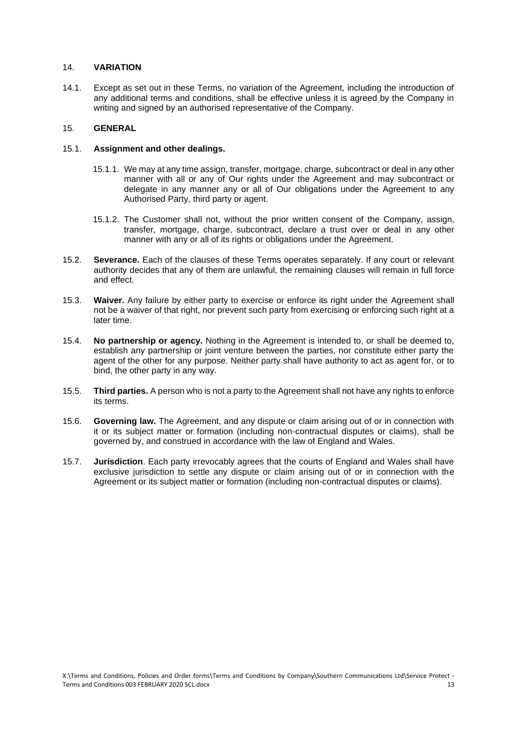## 14. **VARIATION**

14.1. Except as set out in these Terms, no variation of the Agreement, including the introduction of any additional terms and conditions, shall be effective unless it is agreed by the Company in writing and signed by an authorised representative of the Company.

## 15. **GENERAL**

### 15.1. **Assignment and other dealings.**

- 15.1.1. We may at any time assign, transfer, mortgage, charge, subcontract or deal in any other manner with all or any of Our rights under the Agreement and may subcontract or delegate in any manner any or all of Our obligations under the Agreement to any Authorised Party, third party or agent.
- 15.1.2. The Customer shall not, without the prior written consent of the Company, assign, transfer, mortgage, charge, subcontract, declare a trust over or deal in any other manner with any or all of its rights or obligations under the Agreement.
- 15.2. **Severance.** Each of the clauses of these Terms operates separately. If any court or relevant authority decides that any of them are unlawful, the remaining clauses will remain in full force and effect.
- 15.3. **Waiver.** Any failure by either party to exercise or enforce its right under the Agreement shall not be a waiver of that right, nor prevent such party from exercising or enforcing such right at a later time.
- 15.4. **No partnership or agency.** Nothing in the Agreement is intended to, or shall be deemed to, establish any partnership or joint venture between the parties, nor constitute either party the agent of the other for any purpose. Neither party shall have authority to act as agent for, or to bind, the other party in any way.
- 15.5. **Third parties.** A person who is not a party to the Agreement shall not have any rights to enforce its terms.
- 15.6. **Governing law.** The Agreement, and any dispute or claim arising out of or in connection with it or its subject matter or formation (including non-contractual disputes or claims), shall be governed by, and construed in accordance with the law of England and Wales.
- 15.7. **Jurisdiction**. Each party irrevocably agrees that the courts of England and Wales shall have exclusive jurisdiction to settle any dispute or claim arising out of or in connection with the Agreement or its subject matter or formation (including non-contractual disputes or claims).